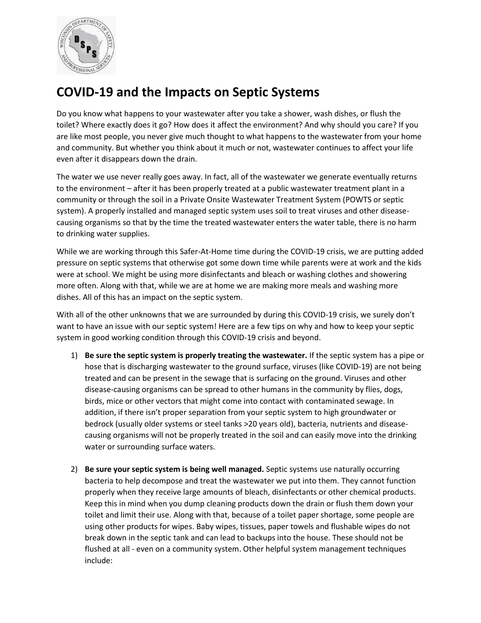

## **COVID-19 and the Impacts on Septic Systems**

Do you know what happens to your wastewater after you take a shower, wash dishes, or flush the toilet? Where exactly does it go? How does it affect the environment? And why should you care? If you are like most people, you never give much thought to what happens to the wastewater from your home and community. But whether you think about it much or not, wastewater continues to affect your life even after it disappears down the drain.

The water we use never really goes away. In fact, all of the wastewater we generate eventually returns to the environment – after it has been properly treated at a public wastewater treatment plant in a community or through the soil in a Private Onsite Wastewater Treatment System (POWTS or septic system). A properly installed and managed septic system uses soil to treat viruses and other diseasecausing organisms so that by the time the treated wastewater enters the water table, there is no harm to drinking water supplies.

While we are working through this Safer-At-Home time during the COVID-19 crisis, we are putting added pressure on septic systems that otherwise got some down time while parents were at work and the kids were at school. We might be using more disinfectants and bleach or washing clothes and showering more often. Along with that, while we are at home we are making more meals and washing more dishes. All of this has an impact on the septic system.

With all of the other unknowns that we are surrounded by during this COVID-19 crisis, we surely don't want to have an issue with our septic system! Here are a few tips on why and how to keep your septic system in good working condition through this COVID-19 crisis and beyond.

- 1) **Be sure the septic system is properly treating the wastewater.** If the septic system has a pipe or hose that is discharging wastewater to the ground surface, viruses (like COVID-19) are not being treated and can be present in the sewage that is surfacing on the ground. Viruses and other disease-causing organisms can be spread to other humans in the community by flies, dogs, birds, mice or other vectors that might come into contact with contaminated sewage. In addition, if there isn't proper separation from your septic system to high groundwater or bedrock (usually older systems or steel tanks >20 years old), bacteria, nutrients and diseasecausing organisms will not be properly treated in the soil and can easily move into the drinking water or surrounding surface waters.
- 2) **Be sure your septic system is being well managed.** Septic systems use naturally occurring bacteria to help decompose and treat the wastewater we put into them. They cannot function properly when they receive large amounts of bleach, disinfectants or other chemical products. Keep this in mind when you dump cleaning products down the drain or flush them down your toilet and limit their use. Along with that, because of a toilet paper shortage, some people are using other products for wipes. Baby wipes, tissues, paper towels and flushable wipes do not break down in the septic tank and can lead to backups into the house. These should not be flushed at all - even on a community system. Other helpful system management techniques include: